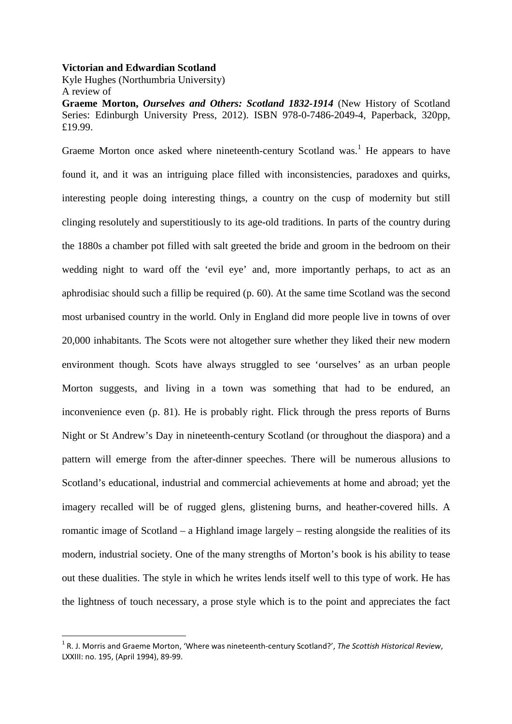## **Victorian and Edwardian Scotland**

 $\overline{a}$ 

Kyle Hughes (Northumbria University) A review of

**Graeme Morton,** *Ourselves and Others: Scotland 1832-1914* (New History of Scotland Series: Edinburgh University Press, 2012). ISBN 978-0-7486-2049-4, Paperback, 320pp, £19.99.

Graeme Morton once asked where nineteenth-century Scotland was.<sup>1</sup> He appears to have found it, and it was an intriguing place filled with inconsistencies, paradoxes and quirks, interesting people doing interesting things, a country on the cusp of modernity but still clinging resolutely and superstitiously to its age-old traditions. In parts of the country during the 1880s a chamber pot filled with salt greeted the bride and groom in the bedroom on their wedding night to ward off the 'evil eye' and, more importantly perhaps, to act as an aphrodisiac should such a fillip be required (p. 60). At the same time Scotland was the second most urbanised country in the world. Only in England did more people live in towns of over 20,000 inhabitants. The Scots were not altogether sure whether they liked their new modern environment though. Scots have always struggled to see 'ourselves' as an urban people Morton suggests, and living in a town was something that had to be endured, an inconvenience even (p. 81). He is probably right. Flick through the press reports of Burns Night or St Andrew's Day in nineteenth-century Scotland (or throughout the diaspora) and a pattern will emerge from the after-dinner speeches. There will be numerous allusions to Scotland's educational, industrial and commercial achievements at home and abroad; yet the imagery recalled will be of rugged glens, glistening burns, and heather-covered hills. A romantic image of Scotland – a Highland image largely – resting alongside the realities of its modern, industrial society. One of the many strengths of Morton's book is his ability to tease out these dualities. The style in which he writes lends itself well to this type of work. He has the lightness of touch necessary, a prose style which is to the point and appreciates the fact

<sup>&</sup>lt;sup>1</sup> R. J. Morris and Graeme Morton, 'Where was nineteenth-century Scotland?', The Scottish Historical Review, LXXIII: no. 195, (April 1994), 89-99.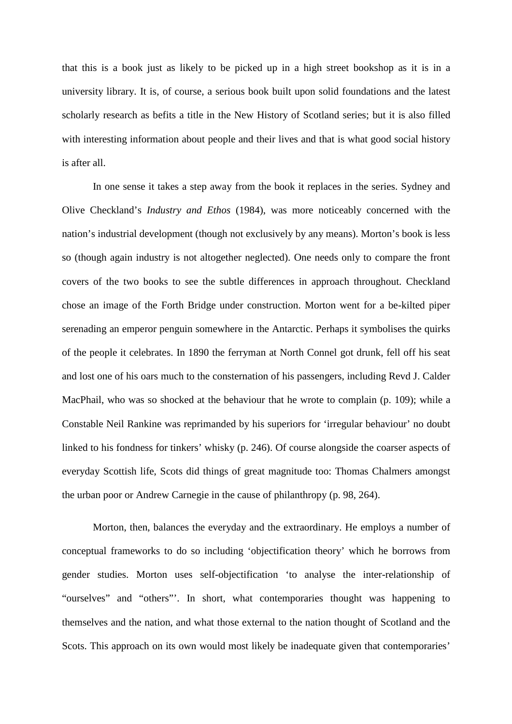that this is a book just as likely to be picked up in a high street bookshop as it is in a university library. It is, of course, a serious book built upon solid foundations and the latest scholarly research as befits a title in the New History of Scotland series; but it is also filled with interesting information about people and their lives and that is what good social history is after all.

In one sense it takes a step away from the book it replaces in the series. Sydney and Olive Checkland's *Industry and Ethos* (1984), was more noticeably concerned with the nation's industrial development (though not exclusively by any means). Morton's book is less so (though again industry is not altogether neglected). One needs only to compare the front covers of the two books to see the subtle differences in approach throughout. Checkland chose an image of the Forth Bridge under construction. Morton went for a be-kilted piper serenading an emperor penguin somewhere in the Antarctic. Perhaps it symbolises the quirks of the people it celebrates. In 1890 the ferryman at North Connel got drunk, fell off his seat and lost one of his oars much to the consternation of his passengers, including Revd J. Calder MacPhail, who was so shocked at the behaviour that he wrote to complain (p. 109); while a Constable Neil Rankine was reprimanded by his superiors for 'irregular behaviour' no doubt linked to his fondness for tinkers' whisky (p. 246). Of course alongside the coarser aspects of everyday Scottish life, Scots did things of great magnitude too: Thomas Chalmers amongst the urban poor or Andrew Carnegie in the cause of philanthropy (p. 98, 264).

Morton, then, balances the everyday and the extraordinary. He employs a number of conceptual frameworks to do so including 'objectification theory' which he borrows from gender studies. Morton uses self-objectification 'to analyse the inter-relationship of "ourselves" and "others"'. In short, what contemporaries thought was happening to themselves and the nation, and what those external to the nation thought of Scotland and the Scots. This approach on its own would most likely be inadequate given that contemporaries'